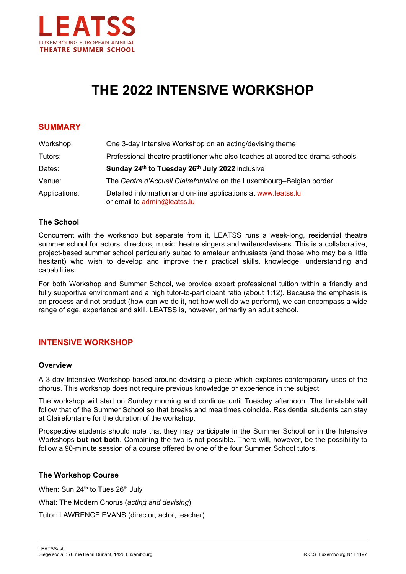

# **THE 2022 INTENSIVE WORKSHOP**

## **SUMMARY**

| Workshop:     | One 3-day Intensive Workshop on an acting/devising theme                                      |
|---------------|-----------------------------------------------------------------------------------------------|
| Tutors:       | Professional theatre practitioner who also teaches at accredited drama schools                |
| Dates:        | Sunday 24th to Tuesday 26th July 2022 inclusive                                               |
| Venue:        | The Centre d'Accueil Clairefontaine on the Luxembourg-Belgian border.                         |
| Applications: | Detailed information and on-line applications at www.leatss.lu<br>or email to admin@leatss.lu |

### **The School**

Concurrent with the workshop but separate from it, LEATSS runs a week-long, residential theatre summer school for actors, directors, music theatre singers and writers/devisers. This is a collaborative, project-based summer school particularly suited to amateur enthusiasts (and those who may be a little hesitant) who wish to develop and improve their practical skills, knowledge, understanding and capabilities.

For both Workshop and Summer School, we provide expert professional tuition within a friendly and fully supportive environment and a high tutor-to-participant ratio (about 1:12). Because the emphasis is on process and not product (how can we do it, not how well do we perform), we can encompass a wide range of age, experience and skill. LEATSS is, however, primarily an adult school.

## **INTENSIVE WORKSHOP**

#### **Overview**

A 3-day Intensive Workshop based around devising a piece which explores contemporary uses of the chorus. This workshop does not require previous knowledge or experience in the subject.

The workshop will start on Sunday morning and continue until Tuesday afternoon. The timetable will follow that of the Summer School so that breaks and mealtimes coincide. Residential students can stay at Clairefontaine for the duration of the workshop.

Prospective students should note that they may participate in the Summer School **or** in the Intensive Workshops **but not both**. Combining the two is not possible. There will, however, be the possibility to follow a 90-minute session of a course offered by one of the four Summer School tutors.

#### **The Workshop Course**

When: Sun 24<sup>th</sup> to Tues 26<sup>th</sup> July What: The Modern Chorus (*acting and devising*) Tutor: LAWRENCE EVANS (director, actor, teacher)